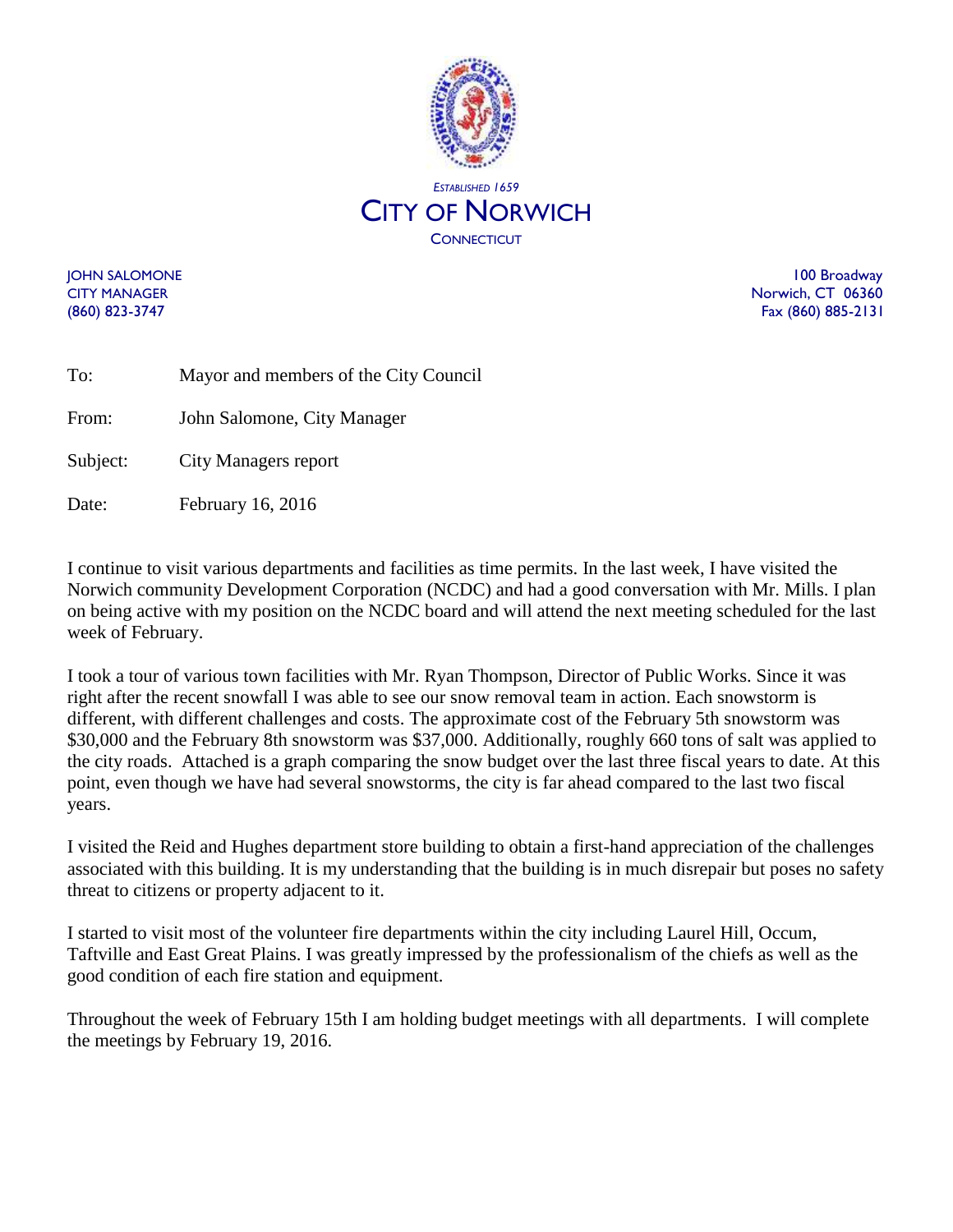

JOHN SALOMONE 100 Broadway CITY MANAGER Norwich, CT 06360 (860) 823-3747 Fax (860) 885-2131

| To:      | Mayor and members of the City Council |
|----------|---------------------------------------|
| From:    | John Salomone, City Manager           |
| Subject: | City Managers report                  |
| Date:    | February 16, 2016                     |

I continue to visit various departments and facilities as time permits. In the last week, I have visited the Norwich community Development Corporation (NCDC) and had a good conversation with Mr. Mills. I plan on being active with my position on the NCDC board and will attend the next meeting scheduled for the last week of February.

I took a tour of various town facilities with Mr. Ryan Thompson, Director of Public Works. Since it was right after the recent snowfall I was able to see our snow removal team in action. Each snowstorm is different, with different challenges and costs. The approximate cost of the February 5th snowstorm was \$30,000 and the February 8th snowstorm was \$37,000. Additionally, roughly 660 tons of salt was applied to the city roads. Attached is a graph comparing the snow budget over the last three fiscal years to date. At this point, even though we have had several snowstorms, the city is far ahead compared to the last two fiscal years.

I visited the Reid and Hughes department store building to obtain a first-hand appreciation of the challenges associated with this building. It is my understanding that the building is in much disrepair but poses no safety threat to citizens or property adjacent to it.

I started to visit most of the volunteer fire departments within the city including Laurel Hill, Occum, Taftville and East Great Plains. I was greatly impressed by the professionalism of the chiefs as well as the good condition of each fire station and equipment.

Throughout the week of February 15th I am holding budget meetings with all departments. I will complete the meetings by February 19, 2016.